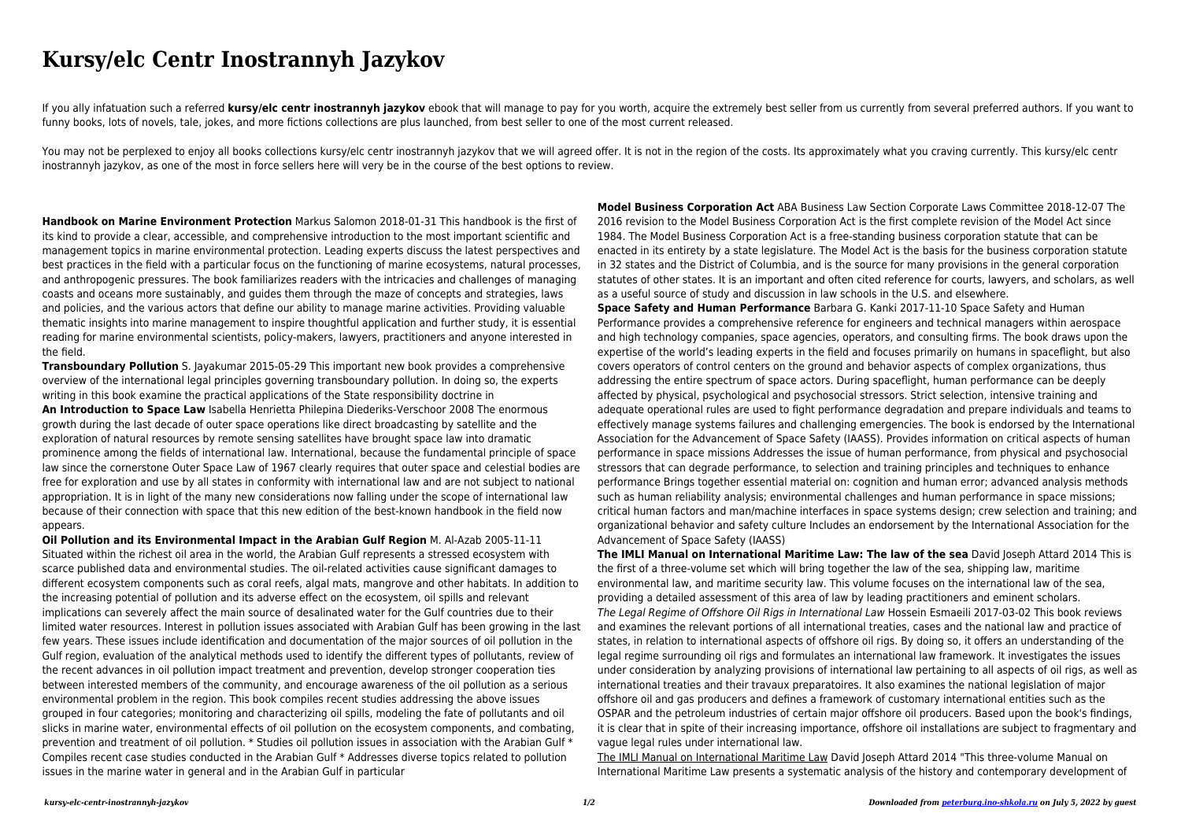## **Kursy/elc Centr Inostrannyh Jazykov**

If you ally infatuation such a referred **kursy/elc centr inostrannyh jazykov** ebook that will manage to pay for you worth, acquire the extremely best seller from us currently from several preferred authors. If you want to funny books, lots of novels, tale, jokes, and more fictions collections are plus launched, from best seller to one of the most current released.

You may not be perplexed to enjoy all books collections kursy/elc centr inostrannyh jazykov that we will agreed offer. It is not in the region of the costs. Its approximately what you craving currently. This kursy/elc cent inostrannyh jazykov, as one of the most in force sellers here will very be in the course of the best options to review.

**Handbook on Marine Environment Protection** Markus Salomon 2018-01-31 This handbook is the first of its kind to provide a clear, accessible, and comprehensive introduction to the most important scientific and management topics in marine environmental protection. Leading experts discuss the latest perspectives and best practices in the field with a particular focus on the functioning of marine ecosystems, natural processes, and anthropogenic pressures. The book familiarizes readers with the intricacies and challenges of managing coasts and oceans more sustainably, and guides them through the maze of concepts and strategies, laws and policies, and the various actors that define our ability to manage marine activities. Providing valuable thematic insights into marine management to inspire thoughtful application and further study, it is essential reading for marine environmental scientists, policy-makers, lawyers, practitioners and anyone interested in the field.

**Transboundary Pollution** S. Jayakumar 2015-05-29 This important new book provides a comprehensive overview of the international legal principles governing transboundary pollution. In doing so, the experts writing in this book examine the practical applications of the State responsibility doctrine in

**An Introduction to Space Law** Isabella Henrietta Philepina Diederiks-Verschoor 2008 The enormous growth during the last decade of outer space operations like direct broadcasting by satellite and the exploration of natural resources by remote sensing satellites have brought space law into dramatic prominence among the fields of international law. International, because the fundamental principle of space law since the cornerstone Outer Space Law of 1967 clearly requires that outer space and celestial bodies are free for exploration and use by all states in conformity with international law and are not subject to national appropriation. It is in light of the many new considerations now falling under the scope of international law because of their connection with space that this new edition of the best-known handbook in the field now appears.

**Oil Pollution and its Environmental Impact in the Arabian Gulf Region** M. Al-Azab 2005-11-11 Situated within the richest oil area in the world, the Arabian Gulf represents a stressed ecosystem with scarce published data and environmental studies. The oil-related activities cause significant damages to different ecosystem components such as coral reefs, algal mats, mangrove and other habitats. In addition to the increasing potential of pollution and its adverse effect on the ecosystem, oil spills and relevant implications can severely affect the main source of desalinated water for the Gulf countries due to their limited water resources. Interest in pollution issues associated with Arabian Gulf has been growing in the last few years. These issues include identification and documentation of the major sources of oil pollution in the Gulf region, evaluation of the analytical methods used to identify the different types of pollutants, review of the recent advances in oil pollution impact treatment and prevention, develop stronger cooperation ties between interested members of the community, and encourage awareness of the oil pollution as a serious environmental problem in the region. This book compiles recent studies addressing the above issues grouped in four categories; monitoring and characterizing oil spills, modeling the fate of pollutants and oil slicks in marine water, environmental effects of oil pollution on the ecosystem components, and combating, prevention and treatment of oil pollution. \* Studies oil pollution issues in association with the Arabian Gulf \* Compiles recent case studies conducted in the Arabian Gulf \* Addresses diverse topics related to pollution issues in the marine water in general and in the Arabian Gulf in particular

**Model Business Corporation Act** ABA Business Law Section Corporate Laws Committee 2018-12-07 The 2016 revision to the Model Business Corporation Act is the first complete revision of the Model Act since 1984. The Model Business Corporation Act is a free-standing business corporation statute that can be enacted in its entirety by a state legislature. The Model Act is the basis for the business corporation statute in 32 states and the District of Columbia, and is the source for many provisions in the general corporation statutes of other states. It is an important and often cited reference for courts, lawyers, and scholars, as well as a useful source of study and discussion in law schools in the U.S. and elsewhere. **Space Safety and Human Performance** Barbara G. Kanki 2017-11-10 Space Safety and Human Performance provides a comprehensive reference for engineers and technical managers within aerospace and high technology companies, space agencies, operators, and consulting firms. The book draws upon the expertise of the world's leading experts in the field and focuses primarily on humans in spaceflight, but also covers operators of control centers on the ground and behavior aspects of complex organizations, thus addressing the entire spectrum of space actors. During spaceflight, human performance can be deeply affected by physical, psychological and psychosocial stressors. Strict selection, intensive training and adequate operational rules are used to fight performance degradation and prepare individuals and teams to effectively manage systems failures and challenging emergencies. The book is endorsed by the International Association for the Advancement of Space Safety (IAASS). Provides information on critical aspects of human performance in space missions Addresses the issue of human performance, from physical and psychosocial stressors that can degrade performance, to selection and training principles and techniques to enhance performance Brings together essential material on: cognition and human error; advanced analysis methods such as human reliability analysis; environmental challenges and human performance in space missions; critical human factors and man/machine interfaces in space systems design; crew selection and training; and organizational behavior and safety culture Includes an endorsement by the International Association for the Advancement of Space Safety (IAASS)

**The IMLI Manual on International Maritime Law: The law of the sea** David Joseph Attard 2014 This is the first of a three-volume set which will bring together the law of the sea, shipping law, maritime environmental law, and maritime security law. This volume focuses on the international law of the sea, providing a detailed assessment of this area of law by leading practitioners and eminent scholars. The Legal Regime of Offshore Oil Rigs in International Law Hossein Esmaeili 2017-03-02 This book reviews and examines the relevant portions of all international treaties, cases and the national law and practice of states, in relation to international aspects of offshore oil rigs. By doing so, it offers an understanding of the legal regime surrounding oil rigs and formulates an international law framework. It investigates the issues under consideration by analyzing provisions of international law pertaining to all aspects of oil rigs, as well as international treaties and their travaux preparatoires. It also examines the national legislation of major offshore oil and gas producers and defines a framework of customary international entities such as the OSPAR and the petroleum industries of certain major offshore oil producers. Based upon the book's findings, it is clear that in spite of their increasing importance, offshore oil installations are subject to fragmentary and vague legal rules under international law.

The IMLI Manual on International Maritime Law David Joseph Attard 2014 "This three-volume Manual on International Maritime Law presents a systematic analysis of the history and contemporary development of